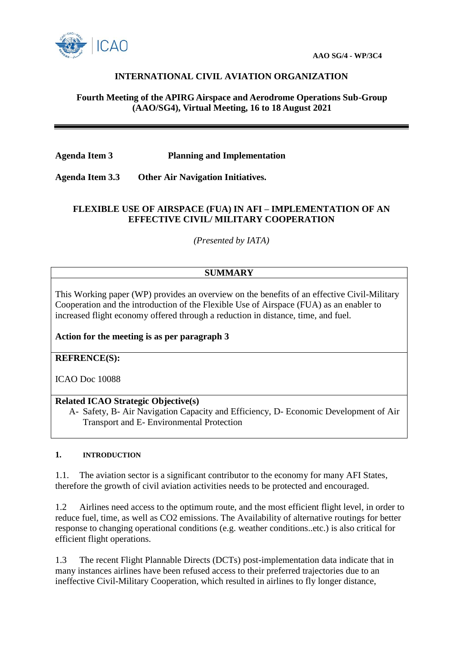

# **INTERNATIONAL CIVIL AVIATION ORGANIZATION**

### **Fourth Meeting of the APIRG Airspace and Aerodrome Operations Sub-Group (AAO/SG4), Virtual Meeting, 16 to 18 August 2021**

**Agenda Item 3 Planning and Implementation** 

**Agenda Item 3.3 Other Air Navigation Initiatives.**

## **FLEXIBLE USE OF AIRSPACE (FUA) IN AFI – IMPLEMENTATION OF AN EFFECTIVE CIVIL/ MILITARY COOPERATION**

*(Presented by IATA)*

# **SUMMARY**

This Working paper (WP) provides an overview on the benefits of an effective Civil-Military Cooperation and the introduction of the Flexible Use of Airspace (FUA) as an enabler to increased flight economy offered through a reduction in distance, time, and fuel.

**Action for the meeting is as per paragraph 3**

**REFRENCE(S):**

ICAO Doc 10088

## **Related ICAO Strategic Objective(s)**

A- Safety, B- Air Navigation Capacity and Efficiency, D- Economic Development of Air Transport and E- Environmental Protection

#### **1. INTRODUCTION**

1.1. The aviation sector is a significant contributor to the economy for many AFI States, therefore the growth of civil aviation activities needs to be protected and encouraged.

1.2 Airlines need access to the optimum route, and the most efficient flight level, in order to reduce fuel, time, as well as CO2 emissions. The Availability of alternative routings for better response to changing operational conditions (e.g. weather conditions..etc.) is also critical for efficient flight operations.

1.3 The recent Flight Plannable Directs (DCTs) post-implementation data indicate that in many instances airlines have been refused access to their preferred trajectories due to an ineffective Civil-Military Cooperation, which resulted in airlines to fly longer distance,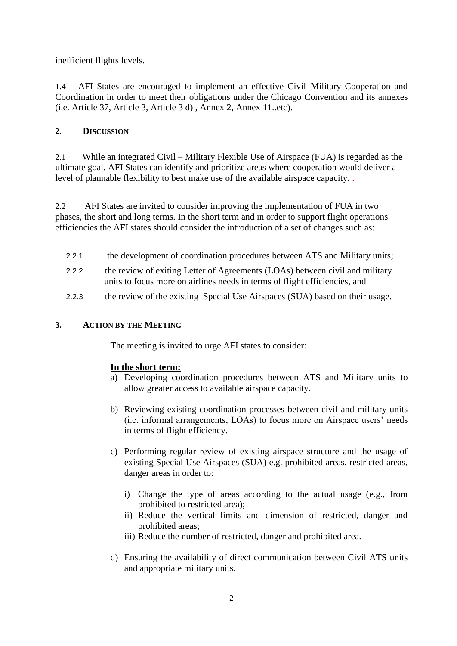inefficient flights levels.

1.4 AFI States are encouraged to implement an effective Civil–Military Cooperation and Coordination in order to meet their obligations under the Chicago Convention and its annexes (i.e. Article 37, Article 3, Article 3 d) , Annex 2, Annex 11..etc).

# **2. DISCUSSION**

2.1 While an integrated Civil – Military Flexible Use of Airspace (FUA) is regarded as the ultimate goal, AFI States can identify and prioritize areas where cooperation would deliver a level of plannable flexibility to best make use of the available airspace capacity. .

2.2 AFI States are invited to consider improving the implementation of FUA in two phases, the short and long terms. In the short term and in order to support flight operations efficiencies the AFI states should consider the introduction of a set of changes such as:

- 2.2.1 the development of coordination procedures between ATS and Military units;
- 2.2.2 the review of exiting Letter of Agreements (LOAs) between civil and military units to focus more on airlines needs in terms of flight efficiencies, and
- 2.2.3 the review of the existing Special Use Airspaces (SUA) based on their usage.

## **3. ACTION BY THE MEETING**

The meeting is invited to urge AFI states to consider:

## **In the short term:**

- a) Developing coordination procedures between ATS and Military units to allow greater access to available airspace capacity.
- b) Reviewing existing coordination processes between civil and military units (i.e. informal arrangements, LOAs) to focus more on Airspace users' needs in terms of flight efficiency.
- c) Performing regular review of existing airspace structure and the usage of existing Special Use Airspaces (SUA) e.g. prohibited areas, restricted areas, danger areas in order to:
	- i) Change the type of areas according to the actual usage (e.g., from prohibited to restricted area);
	- ii) Reduce the vertical limits and dimension of restricted, danger and prohibited areas;
	- iii) Reduce the number of restricted, danger and prohibited area.
- d) Ensuring the availability of direct communication between Civil ATS units and appropriate military units.